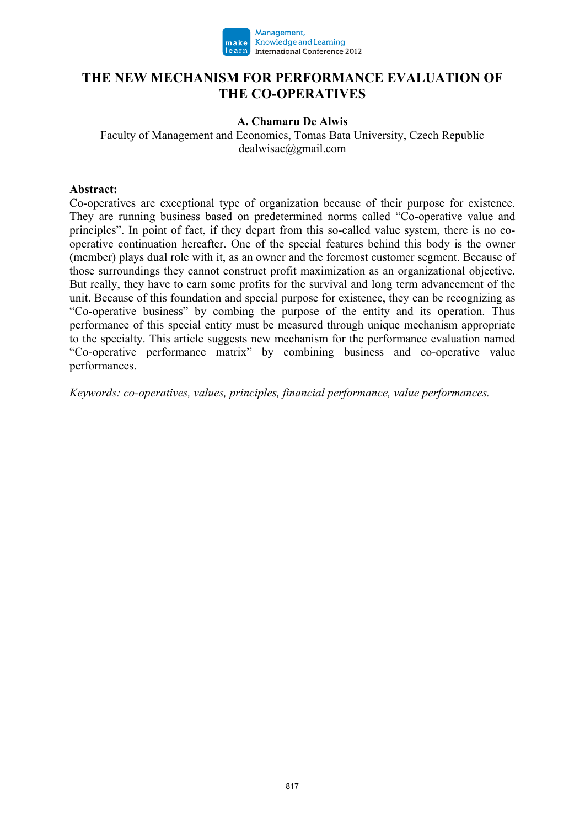

## **THE NEW MECHANISM FOR PERFORMANCE EVALUATION OF THE CO-OPERATIVES**

### **A. Chamaru De Alwis**

Faculty of Management and Economics, Tomas Bata University, Czech Republic dealwisac@gmail.com

### **Abstract:**

Co-operatives are exceptional type of organization because of their purpose for existence. They are running business based on predetermined norms called "Co-operative value and principles". In point of fact, if they depart from this so-called value system, there is no cooperative continuation hereafter. One of the special features behind this body is the owner (member) plays dual role with it, as an owner and the foremost customer segment. Because of those surroundings they cannot construct profit maximization as an organizational objective. But really, they have to earn some profits for the survival and long term advancement of the unit. Because of this foundation and special purpose for existence, they can be recognizing as "Co-operative business" by combing the purpose of the entity and its operation. Thus performance of this special entity must be measured through unique mechanism appropriate to the specialty. This article suggests new mechanism for the performance evaluation named "Co-operative performance matrix" by combining business and co-operative value performances.

*Keywords: co-operatives, values, principles, financial performance, value performances.*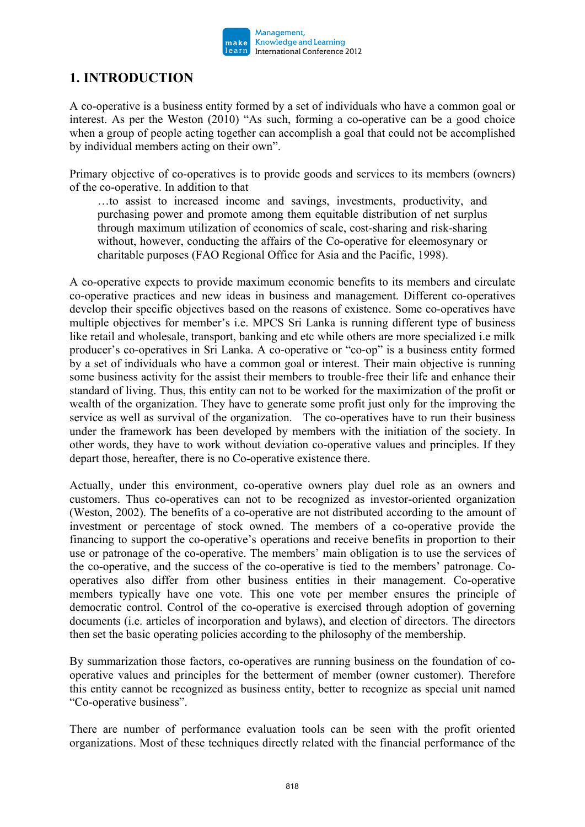

# **1. INTRODUCTION**

A co-operative is a business entity formed by a set of individuals who have a common goal or interest. As per the Weston (2010) "As such, forming a co-operative can be a good choice when a group of people acting together can accomplish a goal that could not be accomplished by individual members acting on their own".

Primary objective of co-operatives is to provide goods and services to its members (owners) of the co-operative. In addition to that

…to assist to increased income and savings, investments, productivity, and purchasing power and promote among them equitable distribution of net surplus through maximum utilization of economics of scale, cost-sharing and risk-sharing without, however, conducting the affairs of the Co-operative for eleemosynary or charitable purposes (FAO Regional Office for Asia and the Pacific, 1998).

A co-operative expects to provide maximum economic benefits to its members and circulate co-operative practices and new ideas in business and management. Different co-operatives develop their specific objectives based on the reasons of existence. Some co-operatives have multiple objectives for member's i.e. MPCS Sri Lanka is running different type of business like retail and wholesale, transport, banking and etc while others are more specialized i.e milk producer's co-operatives in Sri Lanka. A co-operative or "co-op" is a business entity formed by a set of individuals who have a common goal or interest. Their main objective is running some business activity for the assist their members to trouble-free their life and enhance their standard of living. Thus, this entity can not to be worked for the maximization of the profit or wealth of the organization. They have to generate some profit just only for the improving the service as well as survival of the organization. The co-operatives have to run their business under the framework has been developed by members with the initiation of the society. In other words, they have to work without deviation co-operative values and principles. If they depart those, hereafter, there is no Co-operative existence there.

Actually, under this environment, co-operative owners play duel role as an owners and customers. Thus co-operatives can not to be recognized as investor-oriented organization (Weston, 2002). The benefits of a co-operative are not distributed according to the amount of investment or percentage of stock owned. The members of a co-operative provide the financing to support the co-operative's operations and receive benefits in proportion to their use or patronage of the co-operative. The members' main obligation is to use the services of the co-operative, and the success of the co-operative is tied to the members' patronage. Cooperatives also differ from other business entities in their management. Co-operative members typically have one vote. This one vote per member ensures the principle of democratic control. Control of the co-operative is exercised through adoption of governing documents (i.e. articles of incorporation and bylaws), and election of directors. The directors then set the basic operating policies according to the philosophy of the membership.

By summarization those factors, co-operatives are running business on the foundation of cooperative values and principles for the betterment of member (owner customer). Therefore this entity cannot be recognized as business entity, better to recognize as special unit named "Co-operative business".

There are number of performance evaluation tools can be seen with the profit oriented organizations. Most of these techniques directly related with the financial performance of the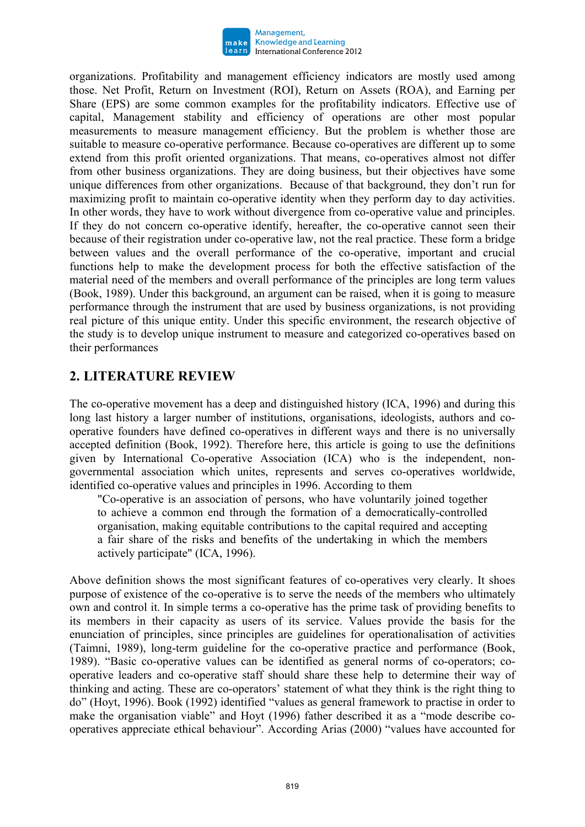

organizations. Profitability and management efficiency indicators are mostly used among those. Net Profit, Return on Investment (ROI), Return on Assets (ROA), and Earning per Share (EPS) are some common examples for the profitability indicators. Effective use of capital, Management stability and efficiency of operations are other most popular measurements to measure management efficiency. But the problem is whether those are suitable to measure co-operative performance. Because co-operatives are different up to some extend from this profit oriented organizations. That means, co-operatives almost not differ from other business organizations. They are doing business, but their objectives have some unique differences from other organizations. Because of that background, they don't run for maximizing profit to maintain co-operative identity when they perform day to day activities. In other words, they have to work without divergence from co-operative value and principles. If they do not concern co-operative identify, hereafter, the co-operative cannot seen their because of their registration under co-operative law, not the real practice. These form a bridge between values and the overall performance of the co-operative, important and crucial functions help to make the development process for both the effective satisfaction of the material need of the members and overall performance of the principles are long term values (Book, 1989). Under this background, an argument can be raised, when it is going to measure performance through the instrument that are used by business organizations, is not providing real picture of this unique entity. Under this specific environment, the research objective of the study is to develop unique instrument to measure and categorized co-operatives based on their performances

# **2. LITERATURE REVIEW**

The co-operative movement has a deep and distinguished history (ICA, 1996) and during this long last history a larger number of institutions, organisations, ideologists, authors and cooperative founders have defined co-operatives in different ways and there is no universally accepted definition (Book, 1992). Therefore here, this article is going to use the definitions given by International Co-operative Association (ICA) who is the independent, nongovernmental association which unites, represents and serves co-operatives worldwide, identified co-operative values and principles in 1996. According to them

"Co-operative is an association of persons, who have voluntarily joined together to achieve a common end through the formation of a democratically-controlled organisation, making equitable contributions to the capital required and accepting a fair share of the risks and benefits of the undertaking in which the members actively participate" (ICA, 1996).

Above definition shows the most significant features of co-operatives very clearly. It shoes purpose of existence of the co-operative is to serve the needs of the members who ultimately own and control it. In simple terms a co-operative has the prime task of providing benefits to its members in their capacity as users of its service. Values provide the basis for the enunciation of principles, since principles are guidelines for operationalisation of activities (Taimni, 1989), long-term guideline for the co-operative practice and performance (Book, 1989). "Basic co-operative values can be identified as general norms of co-operators; cooperative leaders and co-operative staff should share these help to determine their way of thinking and acting. These are co-operators' statement of what they think is the right thing to do" (Hoyt, 1996). Book (1992) identified "values as general framework to practise in order to make the organisation viable" and Hoyt (1996) father described it as a "mode describe cooperatives appreciate ethical behaviour". According Arias (2000) "values have accounted for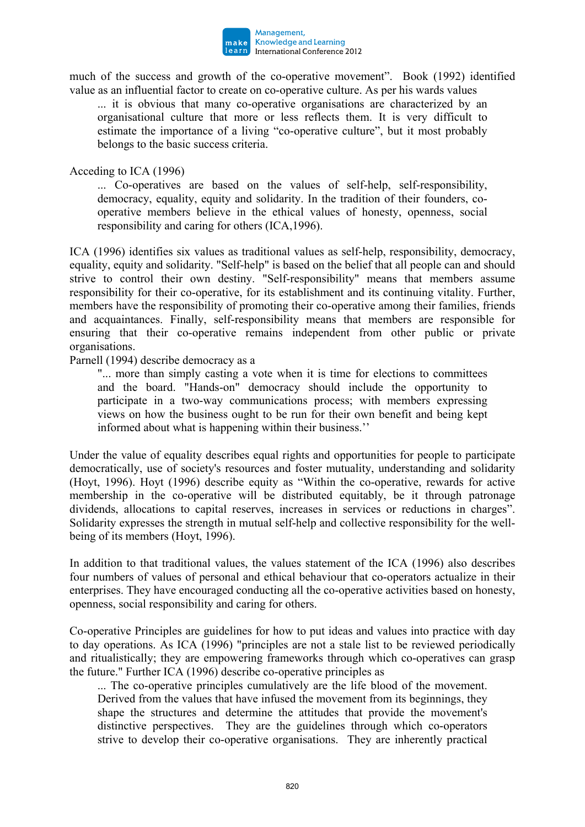

much of the success and growth of the co-operative movement". Book (1992) identified value as an influential factor to create on co-operative culture. As per his wards values

... it is obvious that many co-operative organisations are characterized by an organisational culture that more or less reflects them. It is very difficult to estimate the importance of a living "co-operative culture", but it most probably belongs to the basic success criteria.

Acceding to ICA (1996)

... Co-operatives are based on the values of self-help, self-responsibility, democracy, equality, equity and solidarity. In the tradition of their founders, cooperative members believe in the ethical values of honesty, openness, social responsibility and caring for others (ICA,1996).

ICA (1996) identifies six values as traditional values as self-help, responsibility, democracy, equality, equity and solidarity. "Self-help" is based on the belief that all people can and should strive to control their own destiny. "Self-responsibility" means that members assume responsibility for their co-operative, for its establishment and its continuing vitality. Further, members have the responsibility of promoting their co-operative among their families, friends and acquaintances. Finally, self-responsibility means that members are responsible for ensuring that their co-operative remains independent from other public or private organisations.

Parnell (1994) describe democracy as a

"... more than simply casting a vote when it is time for elections to committees and the board. "Hands-on" democracy should include the opportunity to participate in a two-way communications process; with members expressing views on how the business ought to be run for their own benefit and being kept informed about what is happening within their business.''

Under the value of equality describes equal rights and opportunities for people to participate democratically, use of society's resources and foster mutuality, understanding and solidarity (Hoyt, 1996). Hoyt (1996) describe equity as "Within the co-operative, rewards for active membership in the co-operative will be distributed equitably, be it through patronage dividends, allocations to capital reserves, increases in services or reductions in charges". Solidarity expresses the strength in mutual self-help and collective responsibility for the wellbeing of its members (Hoyt, 1996).

In addition to that traditional values, the values statement of the ICA (1996) also describes four numbers of values of personal and ethical behaviour that co-operators actualize in their enterprises. They have encouraged conducting all the co-operative activities based on honesty, openness, social responsibility and caring for others.

Co-operative Principles are guidelines for how to put ideas and values into practice with day to day operations. As ICA (1996) "principles are not a stale list to be reviewed periodically and ritualistically; they are empowering frameworks through which co-operatives can grasp the future." Further ICA (1996) describe co-operative principles as

... The co-operative principles cumulatively are the life blood of the movement. Derived from the values that have infused the movement from its beginnings, they shape the structures and determine the attitudes that provide the movement's distinctive perspectives. They are the guidelines through which co-operators strive to develop their co-operative organisations. They are inherently practical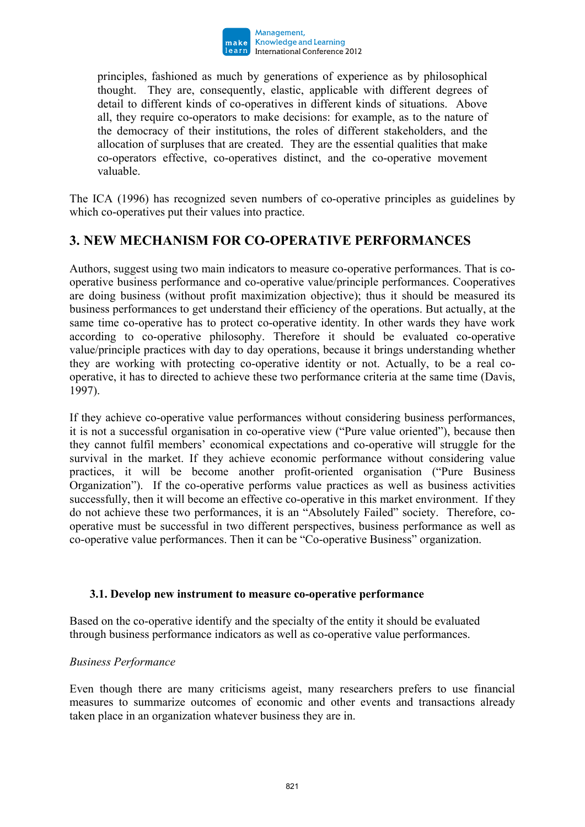

principles, fashioned as much by generations of experience as by philosophical thought. They are, consequently, elastic, applicable with different degrees of detail to different kinds of co-operatives in different kinds of situations. Above all, they require co-operators to make decisions: for example, as to the nature of the democracy of their institutions, the roles of different stakeholders, and the allocation of surpluses that are created. They are the essential qualities that make co-operators effective, co-operatives distinct, and the co-operative movement valuable.

The ICA (1996) has recognized seven numbers of co-operative principles as guidelines by which co-operatives put their values into practice.

# **3. NEW MECHANISM FOR CO-OPERATIVE PERFORMANCES**

Authors, suggest using two main indicators to measure co-operative performances. That is cooperative business performance and co-operative value/principle performances. Cooperatives are doing business (without profit maximization objective); thus it should be measured its business performances to get understand their efficiency of the operations. But actually, at the same time co-operative has to protect co-operative identity. In other wards they have work according to co-operative philosophy. Therefore it should be evaluated co-operative value/principle practices with day to day operations, because it brings understanding whether they are working with protecting co-operative identity or not. Actually, to be a real cooperative, it has to directed to achieve these two performance criteria at the same time (Davis, 1997).

If they achieve co-operative value performances without considering business performances, it is not a successful organisation in co-operative view ("Pure value oriented"), because then they cannot fulfil members' economical expectations and co-operative will struggle for the survival in the market. If they achieve economic performance without considering value practices, it will be become another profit-oriented organisation ("Pure Business Organization"). If the co-operative performs value practices as well as business activities successfully, then it will become an effective co-operative in this market environment. If they do not achieve these two performances, it is an "Absolutely Failed" society. Therefore, cooperative must be successful in two different perspectives, business performance as well as co-operative value performances. Then it can be "Co-operative Business" organization.

### **3.1. Develop new instrument to measure co-operative performance**

Based on the co-operative identify and the specialty of the entity it should be evaluated through business performance indicators as well as co-operative value performances.

### *Business Performance*

Even though there are many criticisms ageist, many researchers prefers to use financial measures to summarize outcomes of economic and other events and transactions already taken place in an organization whatever business they are in.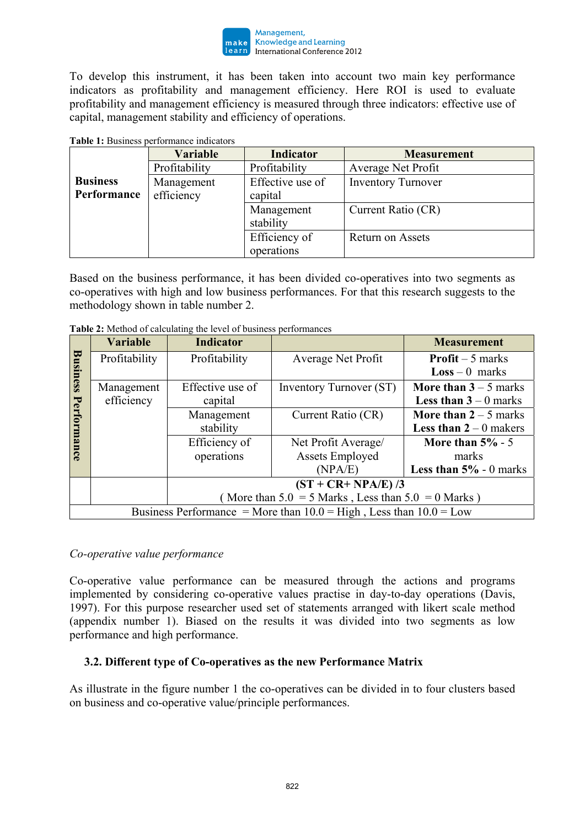

To develop this instrument, it has been taken into account two main key performance indicators as profitability and management efficiency. Here ROI is used to evaluate profitability and management efficiency is measured through three indicators: effective use of capital, management stability and efficiency of operations.

**Table 1:** Business performance indicators

|                 | <b>Variable</b> | <b>Indicator</b> | <b>Measurement</b>        |
|-----------------|-----------------|------------------|---------------------------|
|                 | Profitability   | Profitability    | Average Net Profit        |
| <b>Business</b> | Management      | Effective use of | <b>Inventory Turnover</b> |
| Performance     | efficiency      | capital          |                           |
|                 |                 | Management       | Current Ratio (CR)        |
|                 |                 | stability        |                           |
|                 |                 | Efficiency of    | Return on Assets          |
|                 |                 | operations       |                           |

Based on the business performance, it has been divided co-operatives into two segments as co-operatives with high and low business performances. For that this research suggests to the methodology shown in table number 2.

|                                                                        | <b>Variable</b> | <b>Indicator</b>                                       |                         | <b>Measurement</b>                          |  |  |
|------------------------------------------------------------------------|-----------------|--------------------------------------------------------|-------------------------|---------------------------------------------|--|--|
| Business                                                               | Profitability   | Profitability                                          | Average Net Profit      | <b>Profit</b> $-5$ marks                    |  |  |
|                                                                        |                 |                                                        |                         | $Loss - 0$ marks                            |  |  |
|                                                                        | Management      | Effective use of                                       | Inventory Turnover (ST) | More than $3 - 5$ marks                     |  |  |
|                                                                        | efficiency      | capital                                                |                         | <b>Less than 3</b> – 0 marks                |  |  |
|                                                                        |                 | Management                                             | Current Ratio (CR)      | More than $2 - 5$ marks                     |  |  |
|                                                                        |                 | stability                                              |                         | <b>Less than 2</b> – 0 makers               |  |  |
| Performance                                                            |                 | Efficiency of                                          | Net Profit Average/     | More than $5\%$ - 5                         |  |  |
|                                                                        |                 | operations                                             | <b>Assets Employed</b>  | marks                                       |  |  |
|                                                                        |                 |                                                        | (NPA/E)                 | <b>Less than <math>5\%</math></b> - 0 marks |  |  |
|                                                                        |                 | $(ST + CR + NPA/E)/3$                                  |                         |                                             |  |  |
|                                                                        |                 | (More than $5.0 = 5$ Marks, Less than $5.0 = 0$ Marks) |                         |                                             |  |  |
| Business Performance = More than $10.0$ = High, Less than $10.0$ = Low |                 |                                                        |                         |                                             |  |  |

**Table 2:** Method of calculating the level of business performances

### *Co-operative value performance*

Co-operative value performance can be measured through the actions and programs implemented by considering co-operative values practise in day-to-day operations (Davis, 1997). For this purpose researcher used set of statements arranged with likert scale method (appendix number 1). Biased on the results it was divided into two segments as low performance and high performance.

### **3.2. Different type of Co-operatives as the new Performance Matrix**

As illustrate in the figure number 1 the co-operatives can be divided in to four clusters based on business and co-operative value/principle performances.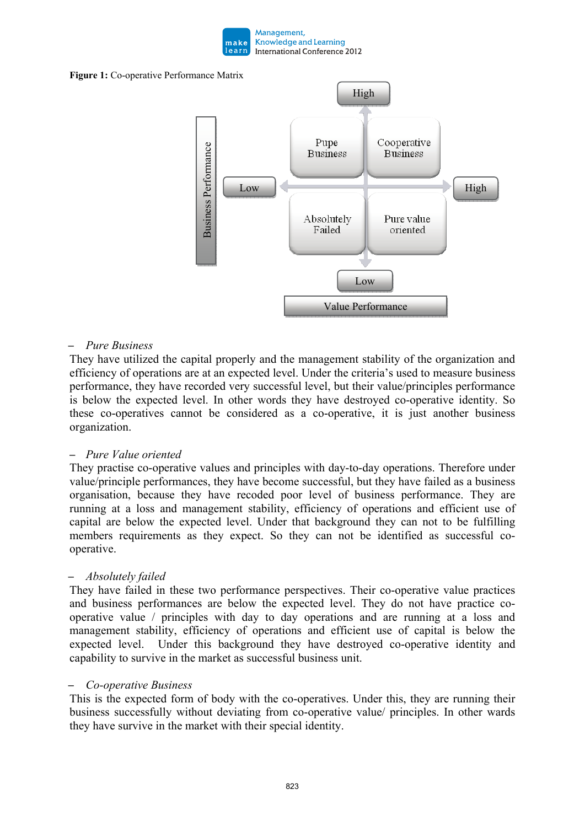

#### **Figure 1:** Co-operative Performance Matrix



#### – *Pure Business*

They have utilized the capital properly and the management stability of the organization and efficiency of operations are at an expected level. Under the criteria's used to measure business performance, they have recorded very successful level, but their value/principles performance is below the expected level. In other words they have destroyed co-operative identity. So these co-operatives cannot be considered as a co-operative, it is just another business organization.

#### – *Pure Value oriented*

They practise co-operative values and principles with day-to-day operations. Therefore under value/principle performances, they have become successful, but they have failed as a business organisation, because they have recoded poor level of business performance. They are running at a loss and management stability, efficiency of operations and efficient use of capital are below the expected level. Under that background they can not to be fulfilling members requirements as they expect. So they can not be identified as successful cooperative.

### – *Absolutely failed*

They have failed in these two performance perspectives. Their co-operative value practices and business performances are below the expected level. They do not have practice cooperative value / principles with day to day operations and are running at a loss and management stability, efficiency of operations and efficient use of capital is below the expected level. Under this background they have destroyed co-operative identity and capability to survive in the market as successful business unit.

#### – *Co-operative Business*

This is the expected form of body with the co-operatives. Under this, they are running their business successfully without deviating from co-operative value/ principles. In other wards they have survive in the market with their special identity.